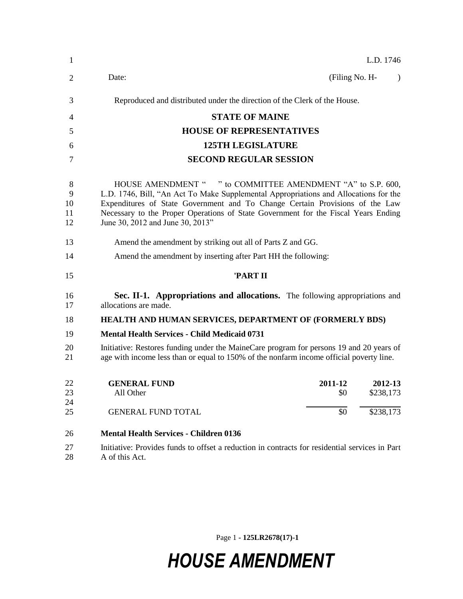| 1                        | L.D. 1746                                                                                                                                                                                                                                                                                                                                                     |  |  |
|--------------------------|---------------------------------------------------------------------------------------------------------------------------------------------------------------------------------------------------------------------------------------------------------------------------------------------------------------------------------------------------------------|--|--|
| 2                        | (Filing No. H-<br>Date:<br>$\lambda$                                                                                                                                                                                                                                                                                                                          |  |  |
| 3                        | Reproduced and distributed under the direction of the Clerk of the House.                                                                                                                                                                                                                                                                                     |  |  |
| 4                        | <b>STATE OF MAINE</b>                                                                                                                                                                                                                                                                                                                                         |  |  |
| 5                        | <b>HOUSE OF REPRESENTATIVES</b>                                                                                                                                                                                                                                                                                                                               |  |  |
| 6                        | <b>125TH LEGISLATURE</b>                                                                                                                                                                                                                                                                                                                                      |  |  |
| 7                        | <b>SECOND REGULAR SESSION</b>                                                                                                                                                                                                                                                                                                                                 |  |  |
| 8<br>9<br>10<br>11<br>12 | HOUSE AMENDMENT " " to COMMITTEE AMENDMENT "A" to S.P. 600,<br>L.D. 1746, Bill, "An Act To Make Supplemental Appropriations and Allocations for the<br>Expenditures of State Government and To Change Certain Provisions of the Law<br>Necessary to the Proper Operations of State Government for the Fiscal Years Ending<br>June 30, 2012 and June 30, 2013" |  |  |
| 13                       | Amend the amendment by striking out all of Parts Z and GG.                                                                                                                                                                                                                                                                                                    |  |  |
| 14                       | Amend the amendment by inserting after Part HH the following:                                                                                                                                                                                                                                                                                                 |  |  |
| 15                       | 'PART II                                                                                                                                                                                                                                                                                                                                                      |  |  |
| 16<br>17                 | Sec. II-1. Appropriations and allocations. The following appropriations and<br>allocations are made.                                                                                                                                                                                                                                                          |  |  |
| 18                       | HEALTH AND HUMAN SERVICES, DEPARTMENT OF (FORMERLY BDS)                                                                                                                                                                                                                                                                                                       |  |  |
| 19                       | <b>Mental Health Services - Child Medicaid 0731</b>                                                                                                                                                                                                                                                                                                           |  |  |
| 20<br>21                 | Initiative: Restores funding under the MaineCare program for persons 19 and 20 years of<br>age with income less than or equal to 150% of the nonfarm income official poverty line.                                                                                                                                                                            |  |  |
| 22<br>23<br>24           | <b>GENERAL FUND</b><br>2011-12<br>2012-13<br>\$0<br>\$238,173<br>All Other                                                                                                                                                                                                                                                                                    |  |  |
| 25                       | \$0<br>\$238,173<br><b>GENERAL FUND TOTAL</b>                                                                                                                                                                                                                                                                                                                 |  |  |
| 26                       | <b>Mental Health Services - Children 0136</b>                                                                                                                                                                                                                                                                                                                 |  |  |
| 27<br>28                 | Initiative: Provides funds to offset a reduction in contracts for residential services in Part<br>A of this Act.                                                                                                                                                                                                                                              |  |  |

Page 1 **- 125LR2678(17)-1**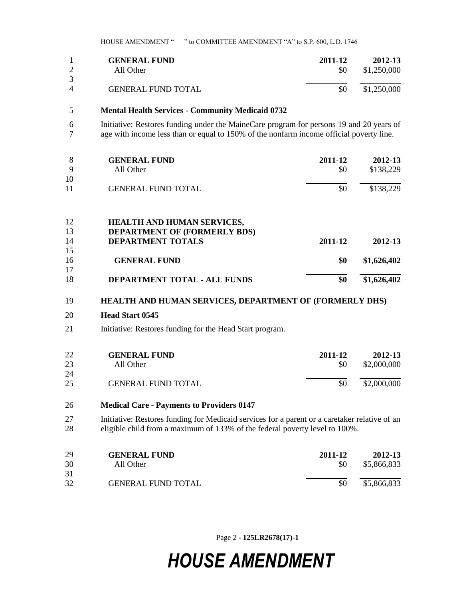HOUSE AMENDMENT " " to COMMITTEE AMENDMENT "A" to S.P. 600, L.D. 1746

|                | <b>GENERAL FUND</b>       | 2011-12 | 2012-13     |
|----------------|---------------------------|---------|-------------|
|                | All Other                 | \$0     | \$1,250,000 |
| 3              |                           |         |             |
| $\overline{4}$ | <b>GENERAL FUND TOTAL</b> | \$0     | \$1,250,000 |

#### **Mental Health Services - Community Medicaid 0732**

 Initiative: Restores funding under the MaineCare program for persons 19 and 20 years of age with income less than or equal to 150% of the nonfarm income official poverty line.

| 8  | <b>GENERAL FUND</b>                 | 2011-12 | 2012-13     |
|----|-------------------------------------|---------|-------------|
| 9  | All Other                           | \$0     | \$138,229   |
| 10 |                                     |         |             |
| 11 | <b>GENERAL FUND TOTAL</b>           | \$0     | \$138,229   |
|    |                                     |         |             |
| 12 | <b>HEALTH AND HUMAN SERVICES,</b>   |         |             |
| 13 | <b>DEPARTMENT OF (FORMERLY BDS)</b> |         |             |
| 14 | <b>DEPARTMENT TOTALS</b>            | 2011-12 | 2012-13     |
| 15 |                                     |         |             |
| 16 | <b>GENERAL FUND</b>                 | \$0     | \$1,626,402 |
| 17 |                                     |         |             |
| 18 | DEPARTMENT TOTAL - ALL FUNDS        | \$0     | \$1,626,402 |

#### **HEALTH AND HUMAN SERVICES, DEPARTMENT OF (FORMERLY DHS)**

#### **Head Start 0545**

Initiative: Restores funding for the Head Start program.

| 22 | <b>GENERAL FUND</b>       | 2011-12 | 2012-13     |
|----|---------------------------|---------|-------------|
| 23 | All Other                 | SO.     | \$2,000,000 |
| 24 |                           |         |             |
| 25 | <b>GENERAL FUND TOTAL</b> | \$0     | \$2,000,000 |

#### **Medical Care - Payments to Providers 0147**

 Initiative: Restores funding for Medicaid services for a parent or a caretaker relative of an eligible child from a maximum of 133% of the federal poverty level to 100%.

| 29 | <b>GENERAL FUND</b>       | 2011-12 | 2012-13     |
|----|---------------------------|---------|-------------|
| 30 | All Other                 | \$0     | \$5,866,833 |
| 31 |                           |         |             |
| 32 | <b>GENERAL FUND TOTAL</b> | \$0     | \$5,866,833 |

Page 2 **- 125LR2678(17)-1**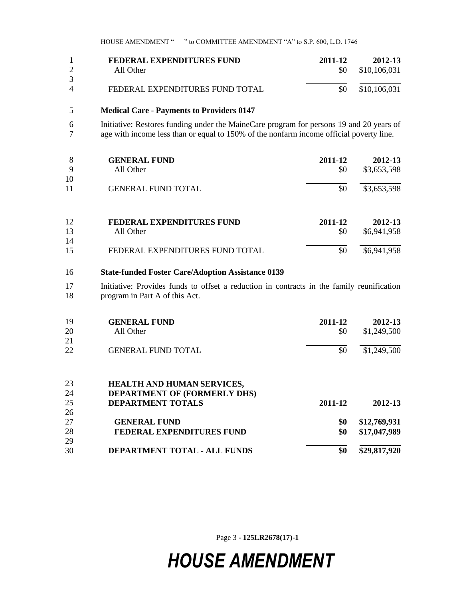HOUSE AMENDMENT " " to COMMITTEE AMENDMENT "A" to S.P. 600, L.D. 1746

|   | FEDERAL EXPENDITURES FUND       | 2011-12 | 2012-13      |
|---|---------------------------------|---------|--------------|
|   | All Other                       | \$0     | \$10,106,031 |
|   |                                 |         |              |
| 4 | FEDERAL EXPENDITURES FUND TOTAL | \$0     | \$10,106,031 |

#### 5 **Medical Care - Payments to Providers 0147**

6 Initiative: Restores funding under the MaineCare program for persons 19 and 20 years of 7 age with income less than or equal to 150% of the nonfarm income official poverty line.

| 8<br>9<br>10 | <b>GENERAL FUND</b><br>All Other | 2011-12<br>\$0 | 2012-13<br>\$3,653,598 |
|--------------|----------------------------------|----------------|------------------------|
| 11           | <b>GENERAL FUND TOTAL</b>        | \$0            | \$3,653,598            |
| 12           | FEDERAL EXPENDITURES FUND        | 2011-12        | 2012-13                |
| 13           | All Other                        | \$0            | \$6,941,958            |
| 14           |                                  |                |                        |
| 15           | FEDERAL EXPENDITURES FUND TOTAL  | \$0            | \$6,941,958            |

#### 16 **State-funded Foster Care/Adoption Assistance 0139**

17 Initiative: Provides funds to offset a reduction in contracts in the family reunification 18 program in Part A of this Act.

| 19<br>20 | <b>GENERAL FUND</b><br>All Other    | 2011-12<br>\$0 | 2012-13<br>\$1,249,500 |
|----------|-------------------------------------|----------------|------------------------|
| 21       |                                     |                |                        |
| 22       | <b>GENERAL FUND TOTAL</b>           | \$0            | \$1,249,500            |
| 23       | <b>HEALTH AND HUMAN SERVICES,</b>   |                |                        |
| 24       | <b>DEPARTMENT OF (FORMERLY DHS)</b> |                |                        |
| 25       | <b>DEPARTMENT TOTALS</b>            | 2011-12        | 2012-13                |
| 26       |                                     |                |                        |
| 27       | <b>GENERAL FUND</b>                 | \$0            | \$12,769,931           |
| 28       | <b>FEDERAL EXPENDITURES FUND</b>    | \$0            | \$17,047,989           |
| 29       |                                     |                |                        |
| 30       | <b>DEPARTMENT TOTAL - ALL FUNDS</b> | \$0            | \$29,817,920           |

Page 3 **- 125LR2678(17)-1**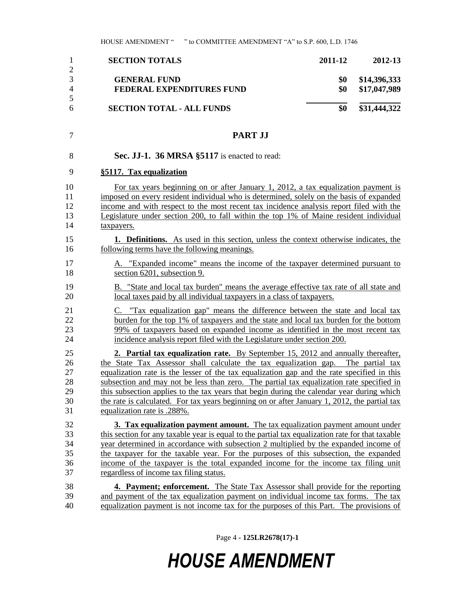|   | <b>SECTION TOTALS</b>            | 2011-12 | 2012-13      |
|---|----------------------------------|---------|--------------|
|   |                                  |         |              |
|   | <b>GENERAL FUND</b>              | \$0     | \$14,396,333 |
|   | FEDERAL EXPENDITURES FUND        | \$0     | \$17,047,989 |
|   |                                  |         |              |
| 6 | <b>SECTION TOTAL - ALL FUNDS</b> | \$0     | \$31,444,322 |

#### **PART JJ**

| 8 |  | Sec. JJ-1. 36 MRSA §5117 is enacted to read: |
|---|--|----------------------------------------------|
|---|--|----------------------------------------------|

#### **§5117. Tax equalization**

 For tax years beginning on or after January 1, 2012, a tax equalization payment is imposed on every resident individual who is determined, solely on the basis of expanded income and with respect to the most recent tax incidence analysis report filed with the Legislature under section 200, to fall within the top 1% of Maine resident individual taxpayers.

 **1. Definitions.** As used in this section, unless the context otherwise indicates, the following terms have the following meanings.

- A. "Expanded income" means the income of the taxpayer determined pursuant to section 6201, subsection 9.
- 19 B. "State and local tax burden" means the average effective tax rate of all state and 20 local taxes paid by all individual taxpayers in a class of taxpayers.
- C. "Tax equalization gap" means the difference between the state and local tax 22 burden for the top 1% of taxpayers and the state and local tax burden for the bottom 99% of taxpayers based on expanded income as identified in the most recent tax incidence analysis report filed with the Legislature under section 200.

 **2. Partial tax equalization rate.** By September 15, 2012 and annually thereafter, 26 the State Tax Assessor shall calculate the tax equalization gap. The partial tax equalization rate is the lesser of the tax equalization gap and the rate specified in this subsection and may not be less than zero. The partial tax equalization rate specified in this subsection applies to the tax years that begin during the calendar year during which the rate is calculated. For tax years beginning on or after January 1, 2012, the partial tax equalization rate is .288%.

 **3. Tax equalization payment amount.** The tax equalization payment amount under this section for any taxable year is equal to the partial tax equalization rate for that taxable year determined in accordance with subsection 2 multiplied by the expanded income of the taxpayer for the taxable year. For the purposes of this subsection, the expanded income of the taxpayer is the total expanded income for the income tax filing unit regardless of income tax filing status.

 **4. Payment; enforcement.** The State Tax Assessor shall provide for the reporting and payment of the tax equalization payment on individual income tax forms. The tax equalization payment is not income tax for the purposes of this Part. The provisions of

Page 4 **- 125LR2678(17)-1**